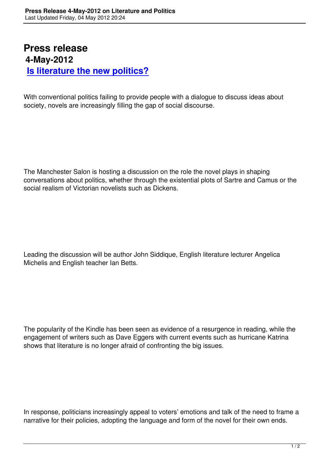## **Press release 4-May-2012 Is literature the new politics?**

[With conventional politics failing to provide](is-literature-the-new-politics.html) people with a dialogue to discuss ideas about society, novels are increasingly filling the gap of social discourse.

The Manchester Salon is hosting a discussion on the role the novel plays in shaping conversations about politics, whether through the existential plots of Sartre and Camus or the social realism of Victorian novelists such as Dickens.

Leading the discussion will be author John Siddique, English literature lecturer Angelica Michelis and English teacher Ian Betts.

The popularity of the Kindle has been seen as evidence of a resurgence in reading, while the engagement of writers such as Dave Eggers with current events such as hurricane Katrina shows that literature is no longer afraid of confronting the big issues.

In response, politicians increasingly appeal to voters' emotions and talk of the need to frame a narrative for their policies, adopting the language and form of the novel for their own ends.